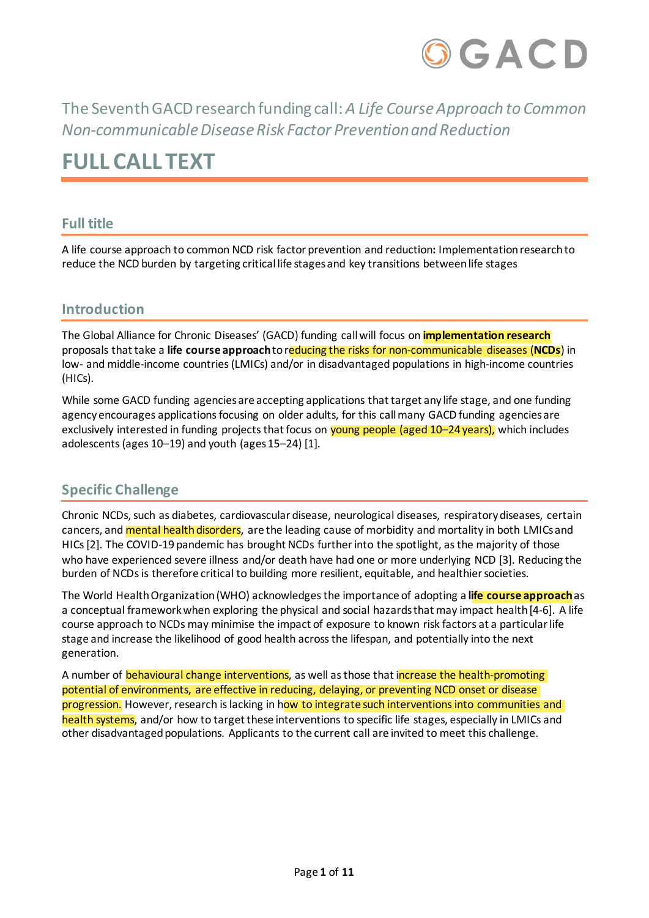

The Seventh GACD research funding call:*A Life Course Approach to Common Non-communicable Disease Risk Factor Prevention and Reduction*

# **FULL CALL TEXT**

# **Full title**

A life course approach to common NCD risk factor prevention and reduction**:** Implementation research to reduce the NCD burden by targeting critical life stages and key transitions between life stages

# **Introduction**

The Global Alliance for Chronic Diseases' (GACD) funding call will focus on **implementation research**  proposals that take a **life course approach**to reducing the risks for non-communicable diseases (**NCDs**) in low- and middle-income countries (LMICs) and/or in disadvantaged populations in high-income countries (HICs).

While some GACD funding agencies are accepting applications that target any life stage, and one funding agency encourages applications focusing on older adults, for this call many GACD funding agencies are exclusively interested in funding projects that focus on young people (aged 10–24 years), which includes adolescents(ages 10–19) and youth (ages 15–24) [1].

# **Specific Challenge**

Chronic NCDs, such as diabetes, cardiovascular disease, neurological diseases, respiratory diseases, certain cancers, and mental health disorders, are the leading cause of morbidity and mortality in both LMICs and HICs [2]. The COVID-19 pandemic has brought NCDs further into the spotlight, as the majority of those who have experienced severe illness and/or death have had one or more underlying NCD [3]. Reducing the burden of NCDs is therefore critical to building more resilient, equitable, and healthier societies.

The World Health Organization(WHO) acknowledges the importance of adopting a **life course approach**as a conceptual framework when exploring the physical and social hazards that may impact health [4-6]. A life course approach to NCDs may minimise the impact of exposure to known risk factors at a particular life stage and increase the likelihood of good health across the lifespan, and potentially into the next generation.

A number of behavioural change interventions, as well as those that increase the health-promoting potential of environments, are effective in reducing, delaying, or preventing NCD onset or disease progression. However, research is lacking in how to integrate such interventions into communities and health systems, and/or how to target these interventions to specific life stages, especially in LMICs and other disadvantaged populations. Applicants to the current call are invited to meet this challenge.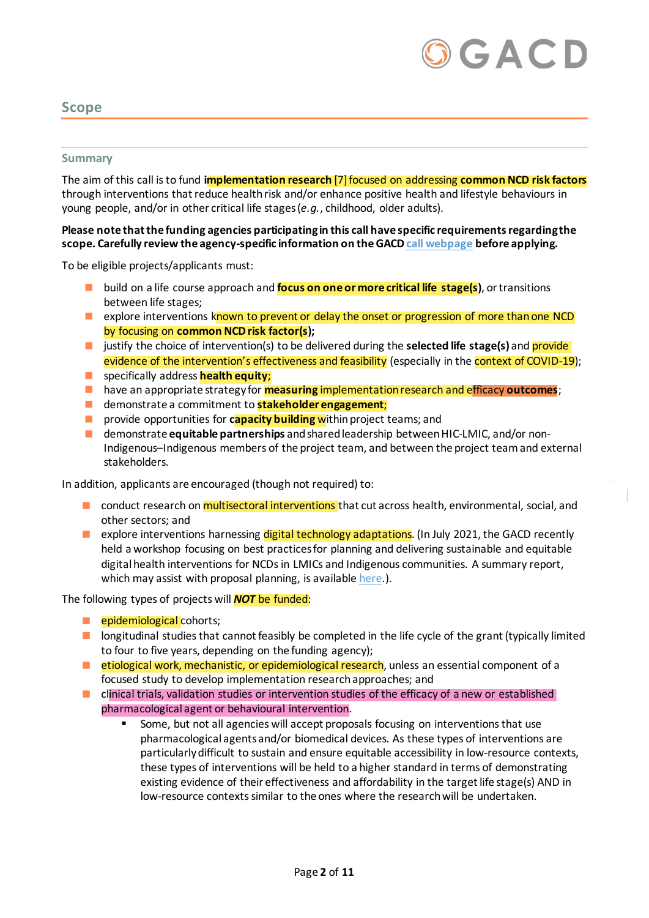

# **Scope**

#### **Summary**

The aim of this call is to fund **implementation research** [7]focused on addressing **common NCD risk factors** through interventions that reduce health risk and/or enhance positive health and lifestyle behaviours in young people, and/or in other critical life stages (*e.g.*, childhood, older adults).

#### **Please note that the funding agencies participating in this call have specific requirements regarding the scope. Carefully review the agency-specific information on the GAC[D call webpage](https://www.gacd.org/funding/current-call-for-applications/common-risk-factors) before applying.**

To be eligible projects/applicants must:

- **E** build on a life course approach and **focus on one or more critical life stage(s**), or transitions between life stages;
- **EXECUTE:** explore interventions known to prevent or delay the onset or progression of more than one NCD by focusing on **common NCD risk factor(s);**
- **If** justify the choice of intervention(s) to be delivered during the **selected life stage(s)** and **provide** evidence of the intervention's effectiveness and feasibility (especially in the context of COVID-19);
- **E** specifically address **health equity**;
- **have an appropriate strategy for measuring implementation research and efficacy outcomes;**
- demonstrate a commitment to **stakeholder engagement**;
- **P** provide opportunities for **capacity building** within project teams; and
- demonstrate **equitable partnerships** and shared leadership between HIC-LMIC, and/or non-Indigenous–Indigenous members of the project team, and between the project team and external stakeholders.

In addition, applicants are encouraged (though not required) to:

- conduct research on *multisectoral interventions* that cut across health, environmental, social, and other sectors; and
- **E** explore interventions harnessing digital technology adaptations. (In July 2021, the GACD recently held a workshop focusing on best practices for planning and delivering sustainable and equitable digital health interventions for NCDs in LMICs and Indigenous communities. A summary report, which may assist with proposal planning, is availabl[e here.](https://gacd.org/community/research-network/research-network-events/other-events)).

The following types of projects will *NOT* be funded:

- **E** epidemiological cohorts;
- **In** longitudinal studies that cannot feasibly be completed in the life cycle of the grant (typically limited to four to five years, depending on the funding agency);
- **E** etiological work, mechanistic, or epidemiological research, unless an essential component of a focused study to develop implementation research approaches; and
- **D** clinical trials, validation studies or intervention studies of the efficacy of a new or established pharmacological agent or behavioural intervention.
	- Some, but not all agencies will accept proposals focusing on interventions that use pharmacological agents and/or biomedical devices. As these types of interventions are particularly difficult to sustain and ensure equitable accessibility in low-resource contexts, these types of interventions will be held to a higher standard in terms of demonstrating existing evidence of their effectiveness and affordability in the target life stage(s) AND in low-resource contexts similar to the ones where the research will be undertaken.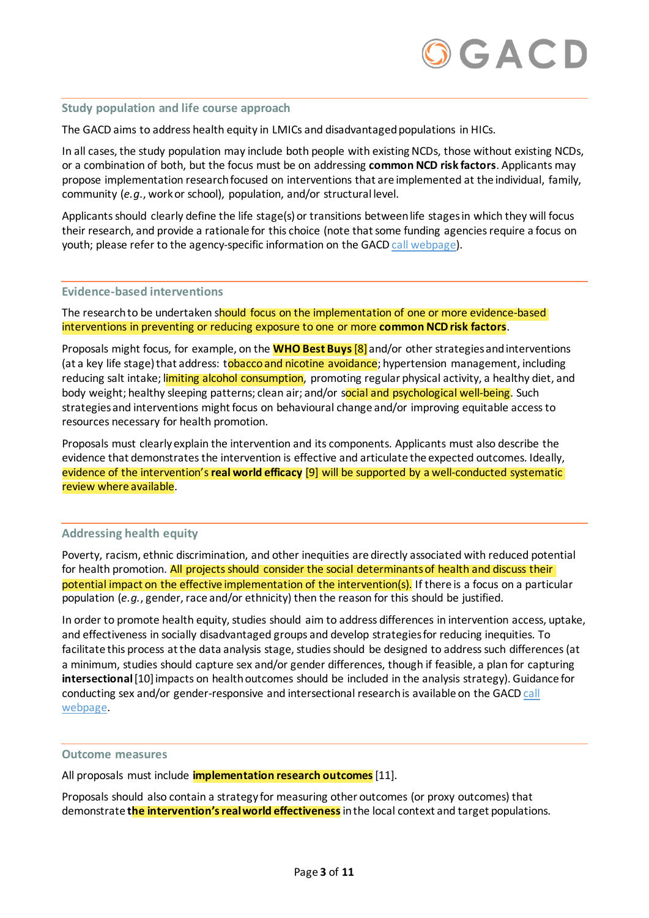#### **Study population and life course approach**

The GACD aims to address health equity in LMICs and disadvantaged populations in HICs.

In all cases, the study population may include both people with existing NCDs, those without existing NCDs, or a combination of both, but the focus must be on addressing **common NCD risk factors**. Applicants may propose implementation research focused on interventions that are implemented at the individual, family, community (*e.g*., work or school), population, and/or structural level.

Applicants should clearly define the life stage(s) or transitions between life stages in which they will focus their research, and provide a rationale for this choice (note that some funding agencies require a focus on youth; please refer to the agency-specific information on the GACD [call webpage\)](https://www.gacd.org/funding/current-call-for-applications/common-risk-factors).

#### **Evidence-based interventions**

The research to be undertaken should focus on the implementation of one or more evidence-based interventions in preventing or reducing exposure to one or more **common NCD risk factors**.

Proposals might focus, for example, on the **WHO Best Buys**[8] and/or other strategies and interventions (at a key life stage) that address: tobacco and nicotine avoidance; hypertension management, including reducing salt intake; limiting alcohol consumption, promoting regular physical activity, a healthy diet, and body weight; healthy sleeping patterns; clean air; and/or social and psychological well-being. Such strategies and interventions might focus on behavioural change and/or improving equitable access to resources necessary for health promotion.

Proposals must clearly explain the intervention and its components. Applicants must also describe the evidence that demonstrates the intervention is effective and articulate the expected outcomes. Ideally, evidence of the intervention's **real world efficacy** [9] will be supported by a well-conducted systematic review where available.

## **Addressing health equity**

Poverty, racism, ethnic discrimination, and other inequities are directly associated with reduced potential for health promotion. All projects should consider the social determinants of health and discuss their potential impact on the effective implementation of the intervention(s). If there is a focus on a particular population (*e.g.*, gender, race and/or ethnicity) then the reason for this should be justified.

In order to promote health equity, studies should aim to address differences in intervention access, uptake, and effectiveness in socially disadvantaged groups and develop strategies for reducing inequities. To facilitate this process at the data analysis stage, studies should be designed to address such differences (at a minimum, studies should capture sex and/or gender differences, though if feasible, a plan for capturing **intersectional**[10]impacts on health outcomes should be included in the analysis strategy). Guidance for conducting sex and/or gender-responsive and intersectional research is available on the GACD [call](https://www.gacd.org/funding/current-call-for-applications/common-risk-factors)  [webpage.](https://www.gacd.org/funding/current-call-for-applications/common-risk-factors)

#### **Outcome measures**

All proposals must include **implementation research outcomes**[11].

Proposals should also contain a strategy for measuring other outcomes (or proxy outcomes) that demonstrate **the intervention's real world effectiveness**in the local context and target populations.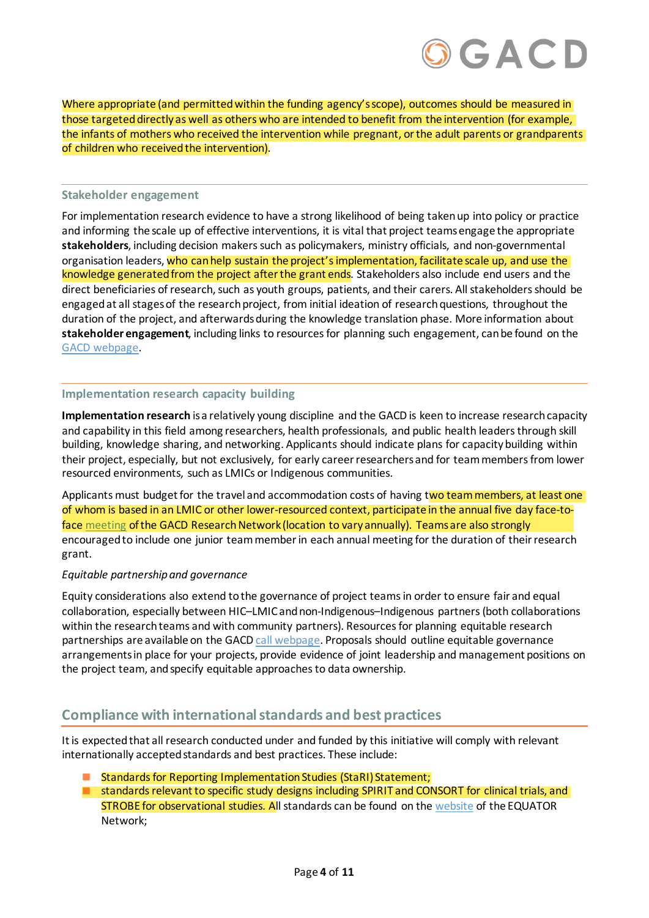

Where appropriate (and permitted within the funding agency's scope), outcomes should be measured in those targeted directly as well as others who are intended to benefit from the intervention (for example, the infants of mothers who received the intervention while pregnant, or the adult parents or grandparents of children who received the intervention).

#### **Stakeholder engagement**

For implementation research evidence to have a strong likelihood of being taken up into policy or practice and informing the scale up of effective interventions, it is vital that project teams engage the appropriate **stakeholders**, including decision makers such as policymakers, ministry officials, and non-governmental organisation leaders, who can help sustain the project's implementation, facilitate scale up, and use the knowledge generated from the project after the grant ends. Stakeholders also include end users and the direct beneficiaries of research, such as youth groups, patients, and their carers. All stakeholders should be engaged at all stages of the research project, from initial ideation of research questions, throughout the duration of the project, and afterwards during the knowledge translation phase. More information about **stakeholder engagement**, including links to resources for planning such engagement, can be found on the [GACD webpage.](https://www.gacd.org/resources/researchers-and-students/stakeholder-engagement)

#### **Implementation research capacity building**

**Implementation research** is a relatively young discipline and the GACD is keen to increase research capacity and capability in this field among researchers, health professionals, and public health leaders through skill building, knowledge sharing, and networking. Applicants should indicate plans for capacity building within their project, especially, but not exclusively, for early career researchers and for team members from lower resourced environments, such as LMICs or Indigenous communities.

Applicants must budget for the travel and accommodation costs of having two team members, at least one of whom is based in an LMIC or other lower-resourced context, participate in the annual five day face-toface [meeting](https://www.gacd.org/research/research-network/gacd-annual-scientific-meeting-2020) of the GACD Research Network (location to vary annually). Teams are also strongly encouraged to include one junior team member in each annual meeting for the duration of their research grant.

#### *Equitable partnership and governance*

Equity considerations also extend to the governance of project teams in order to ensure fair and equal collaboration, especially between HIC–LMIC and non-Indigenous–Indigenous partners (both collaborations within the research teams and with community partners). Resources for planning equitable research partnerships are available on the GACD [call webpage.](https://www.gacd.org/funding/current-call-for-applications/common-risk-factors) Proposals should outline equitable governance arrangements in place for your projects, provide evidence of joint leadership and management positions on the project team, and specify equitable approaches to data ownership.

# **Compliance with international standards and best practices**

It is expected that all research conducted under and funded by this initiative will comply with relevant internationally accepted standards and best practices. These include:

- Standards for Reporting Implementation Studies (StaRI) Statement;
- **EXECUTE:** standards relevant to specific study designs including SPIRIT and CONSORT for clinical trials, and STROBE for observational studies. All standards can be found on the [website](https://www.equator-network.org/reporting-guidelines/) of the EQUATOR Network;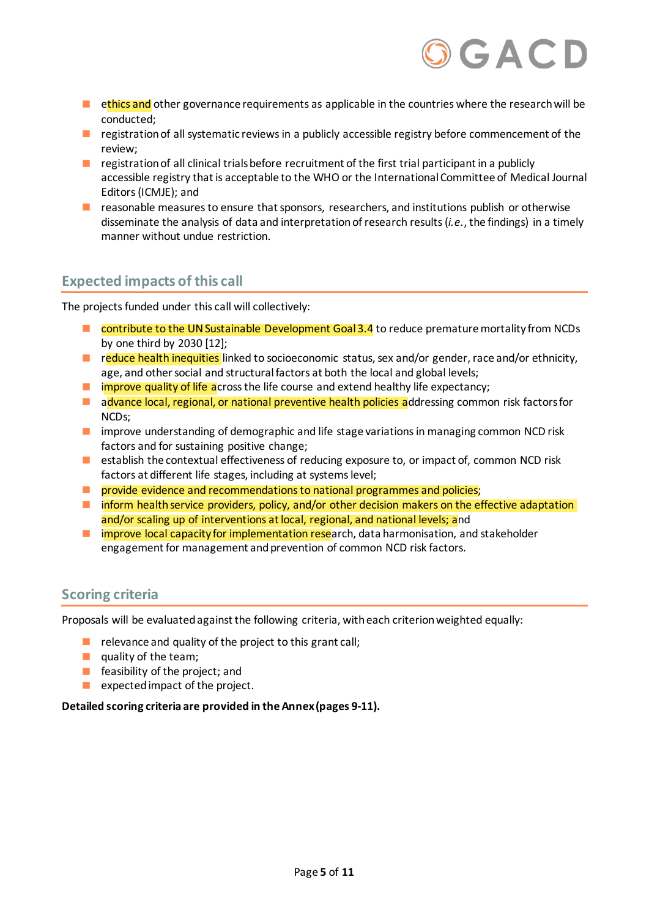

- **EXECUTE:** ethics and other governance requirements as applicable in the countries where the research will be conducted;
- **P** registration of all systematic reviews in a publicly accessible registry before commencement of the review;
- registration of all clinical trials before recruitment of the first trial participant in a publicly accessible registry that is acceptable to the WHO or the International Committee of Medical Journal Editors (ICMJE); and
- **EX** reasonable measures to ensure that sponsors, researchers, and institutions publish or otherwise disseminate the analysis of data and interpretation of research results (*i.e.*, the findings) in a timely manner without undue restriction.

# **Expected impacts of this call**

The projects funded under this call will collectively:

- **E** contribute to the UN Sustainable Development Goal 3.4 to reduce premature mortality from NCDs by one third by 2030 [12];
- **P** reduce health inequities linked to socioeconomic status, sex and/or gender, race and/or ethnicity, age, and other social and structural factors at both the local and global levels;
- $\blacksquare$  improve quality of life across the life course and extend healthy life expectancy;
- **advance local, regional, or national preventive health policies addressing common risk factors for** NCDs;
- **In all improve understanding of demographic and life stage variations in managing common NCD risk** factors and for sustaining positive change;
- **E** establish the contextual effectiveness of reducing exposure to, or impact of, common NCD risk factors at different life stages, including at systems level;
- **EX provide evidence and recommendations to national programmes and policies;**
- $\blacksquare$  inform health service providers, policy, and/or other decision makers on the effective adaptation and/or scaling up of interventions at local, regional, and national levels; and
- **In improve local capacity for implementation research, data harmonisation, and stakeholder** engagement for management and prevention of common NCD risk factors.

# **Scoring criteria**

Proposals will be evaluated against the following criteria, with each criterion weighted equally:

- $\blacksquare$  relevance and quality of the project to this grant call;
- quality of the team;
- $\blacksquare$  feasibility of the project; and
- **E** expected impact of the project.

## **Detailed scoring criteria are provided in theAnnex(pages 9-11).**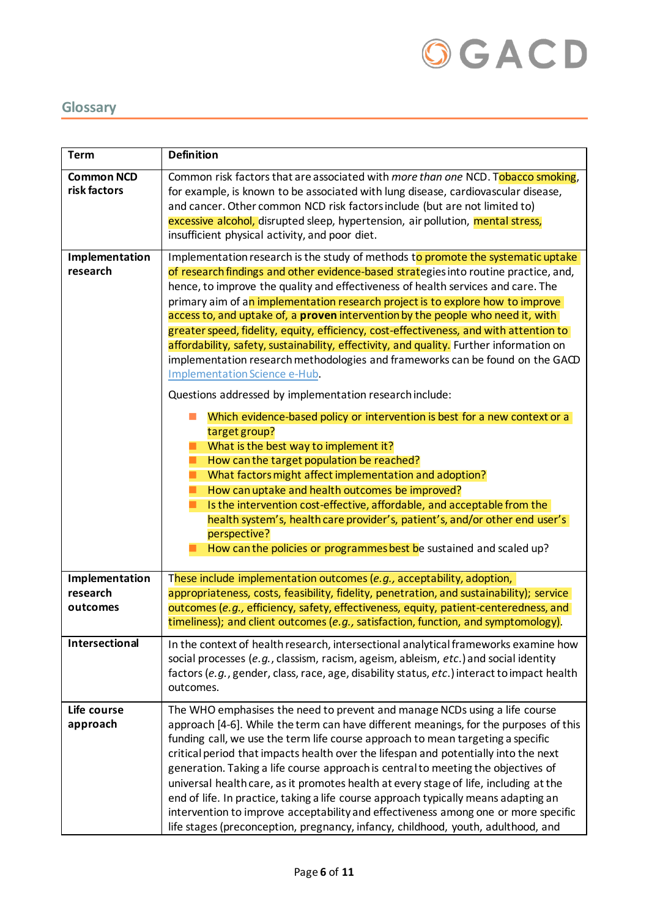

# **Glossary**

| <b>Term</b>                            | <b>Definition</b>                                                                                                                                                                                                                                                                                                                                                                                                                                                                                                                                                                                                                                                                                                                                                                                                                                                                                                                                                                                                                                                                                                                                                                                                                                                                                                                                             |
|----------------------------------------|---------------------------------------------------------------------------------------------------------------------------------------------------------------------------------------------------------------------------------------------------------------------------------------------------------------------------------------------------------------------------------------------------------------------------------------------------------------------------------------------------------------------------------------------------------------------------------------------------------------------------------------------------------------------------------------------------------------------------------------------------------------------------------------------------------------------------------------------------------------------------------------------------------------------------------------------------------------------------------------------------------------------------------------------------------------------------------------------------------------------------------------------------------------------------------------------------------------------------------------------------------------------------------------------------------------------------------------------------------------|
| <b>Common NCD</b><br>risk factors      | Common risk factors that are associated with more than one NCD. Tobacco smoking,<br>for example, is known to be associated with lung disease, cardiovascular disease,<br>and cancer. Other common NCD risk factors include (but are not limited to)<br>excessive alcohol, disrupted sleep, hypertension, air pollution, mental stress,<br>insufficient physical activity, and poor diet.                                                                                                                                                                                                                                                                                                                                                                                                                                                                                                                                                                                                                                                                                                                                                                                                                                                                                                                                                                      |
| Implementation<br>research             | Implementation research is the study of methods to promote the systematic uptake<br>of research findings and other evidence-based strategies into routine practice, and,<br>hence, to improve the quality and effectiveness of health services and care. The<br>primary aim of an implementation research project is to explore how to improve<br>access to, and uptake of, a proven intervention by the people who need it, with<br>greater speed, fidelity, equity, efficiency, cost-effectiveness, and with attention to<br>affordability, safety, sustainability, effectivity, and quality. Further information on<br>implementation research methodologies and frameworks can be found on the GACD<br><b>Implementation Science e-Hub.</b><br>Questions addressed by implementation research include:<br>Which evidence-based policy or intervention is best for a new context or a<br>target group?<br>What is the best way to implement it?<br>How can the target population be reached?<br>What factors might affect implementation and adoption?<br>How can uptake and health outcomes be improved?<br>Is the intervention cost-effective, affordable, and acceptable from the<br>health system's, health care provider's, patient's, and/or other end user's<br>perspective?<br>How can the policies or programmes best be sustained and scaled up? |
| Implementation<br>research<br>outcomes | These include implementation outcomes (e.g., acceptability, adoption,<br>appropriateness, costs, feasibility, fidelity, penetration, and sustainability); service<br>outcomes (e.g., efficiency, safety, effectiveness, equity, patient-centeredness, and<br>timeliness); and client outcomes (e.g., satisfaction, function, and symptomology).                                                                                                                                                                                                                                                                                                                                                                                                                                                                                                                                                                                                                                                                                                                                                                                                                                                                                                                                                                                                               |
| Intersectional                         | In the context of health research, intersectional analytical frameworks examine how<br>social processes (e.g., classism, racism, ageism, ableism, etc.) and social identity<br>factors (e.g., gender, class, race, age, disability status, etc.) interact to impact health<br>outcomes.                                                                                                                                                                                                                                                                                                                                                                                                                                                                                                                                                                                                                                                                                                                                                                                                                                                                                                                                                                                                                                                                       |
| Life course<br>approach                | The WHO emphasises the need to prevent and manage NCDs using a life course<br>approach [4-6]. While the term can have different meanings, for the purposes of this<br>funding call, we use the term life course approach to mean targeting a specific<br>critical period that impacts health over the lifespan and potentially into the next<br>generation. Taking a life course approach is central to meeting the objectives of<br>universal health care, as it promotes health at every stage of life, including at the<br>end of life. In practice, taking a life course approach typically means adapting an<br>intervention to improve acceptability and effectiveness among one or more specific<br>life stages (preconception, pregnancy, infancy, childhood, youth, adulthood, and                                                                                                                                                                                                                                                                                                                                                                                                                                                                                                                                                                   |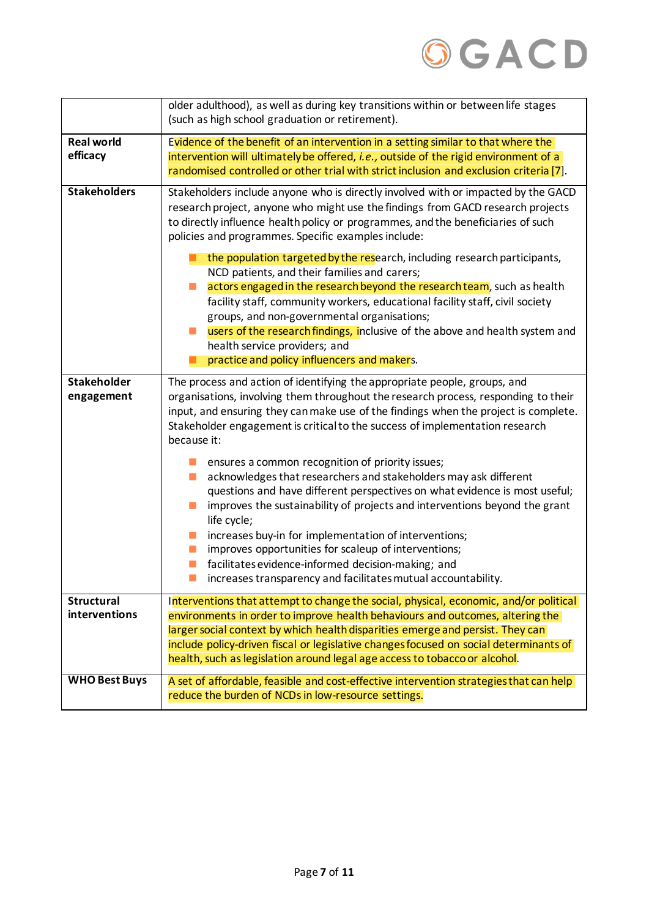

|                                    | older adulthood), as well as during key transitions within or between life stages<br>(such as high school graduation or retirement).                                                                                                                                                                                                                                                                                                                                                                                                                                                                                                                                                                                                                                                                                                                                                             |
|------------------------------------|--------------------------------------------------------------------------------------------------------------------------------------------------------------------------------------------------------------------------------------------------------------------------------------------------------------------------------------------------------------------------------------------------------------------------------------------------------------------------------------------------------------------------------------------------------------------------------------------------------------------------------------------------------------------------------------------------------------------------------------------------------------------------------------------------------------------------------------------------------------------------------------------------|
| <b>Real world</b><br>efficacy      | Evidence of the benefit of an intervention in a setting similar to that where the<br>intervention will ultimately be offered, i.e., outside of the rigid environment of a<br>randomised controlled or other trial with strict inclusion and exclusion criteria [7].                                                                                                                                                                                                                                                                                                                                                                                                                                                                                                                                                                                                                              |
| <b>Stakeholders</b>                | Stakeholders include anyone who is directly involved with or impacted by the GACD<br>research project, anyone who might use the findings from GACD research projects<br>to directly influence health policy or programmes, and the beneficiaries of such<br>policies and programmes. Specific examples include:<br>the population targeted by the research, including research participants,<br>NCD patients, and their families and carers;<br>actors engaged in the research beyond the research team, such as health<br>facility staff, community workers, educational facility staff, civil society<br>groups, and non-governmental organisations;<br>users of the research findings, inclusive of the above and health system and<br>health service providers; and<br>practice and policy influencers and makers.                                                                           |
| <b>Stakeholder</b><br>engagement   | The process and action of identifying the appropriate people, groups, and<br>organisations, involving them throughout the research process, responding to their<br>input, and ensuring they can make use of the findings when the project is complete.<br>Stakeholder engagement is critical to the success of implementation research<br>because it:<br>ensures a common recognition of priority issues;<br>acknowledges that researchers and stakeholders may ask different<br>questions and have different perspectives on what evidence is most useful;<br>improves the sustainability of projects and interventions beyond the grant<br>life cycle;<br>increases buy-in for implementation of interventions;<br>improves opportunities for scaleup of interventions;<br>facilitates evidence-informed decision-making; and<br>increases transparency and facilitates mutual accountability. |
| <b>Structural</b><br>interventions | Interventions that attempt to change the social, physical, economic, and/or political<br>environments in order to improve health behaviours and outcomes, altering the<br>larger social context by which health disparities emerge and persist. They can<br>include policy-driven fiscal or legislative changes focused on social determinants of<br>health, such as legislation around legal age access to tobacco or alcohol.                                                                                                                                                                                                                                                                                                                                                                                                                                                                  |
| <b>WHO Best Buys</b>               | A set of affordable, feasible and cost-effective intervention strategies that can help<br>reduce the burden of NCDs in low-resource settings.                                                                                                                                                                                                                                                                                                                                                                                                                                                                                                                                                                                                                                                                                                                                                    |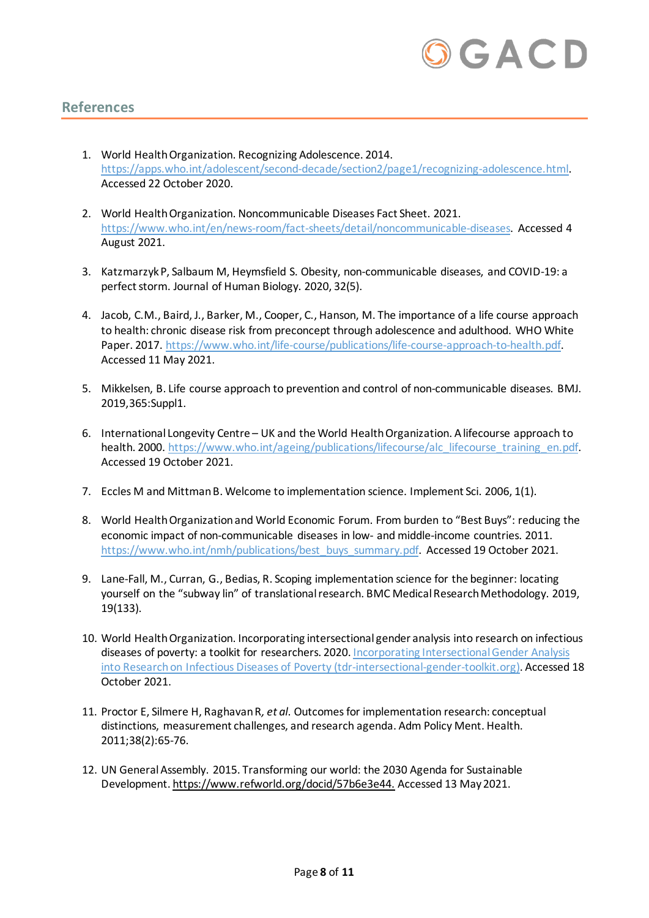

# **References**

- 1. World Health Organization. Recognizing Adolescence. 2014. [https://apps.who.int/adolescent/second-decade/section2/page1/recognizing-adolescence.html.](https://apps.who.int/adolescent/second-decade/section2/page1/recognizing-adolescence.html) Accessed 22 October 2020.
- 2. World Health Organization. Noncommunicable Diseases Fact Sheet. 2021. [https://www.who.int/en/news-room/fact-sheets/detail/noncommunicable-diseases.](https://www.who.int/en/news-room/fact-sheets/detail/noncommunicable-diseases) Accessed 4 August 2021.
- 3. Katzmarzyk P, Salbaum M, Heymsfield S. Obesity, non-communicable diseases, and COVID-19: a perfect storm. Journal of Human Biology. 2020, 32(5).
- 4. Jacob, C.M., Baird, J., Barker, M., Cooper, C., Hanson, M. The importance of a life course approach to health: chronic disease risk from preconcept through adolescence and adulthood. WHO White Paper. 2017[. https://www.who.int/life-course/publications/life-course-approach-to-health.pdf.](https://www.who.int/life-course/publications/life-course-approach-to-health.pdf)  Accessed 11 May 2021.
- 5. Mikkelsen, B. Life course approach to prevention and control of non-communicable diseases. BMJ. 2019,365:Suppl1.
- 6. International Longevity Centre UK and the World Health Organization. A lifecourse approach to health. 2000. [https://www.who.int/ageing/publications/lifecourse/alc\\_lifecourse\\_training\\_en.pdf.](https://www.who.int/ageing/publications/lifecourse/alc_lifecourse_training_en.pdf) Accessed 19 October 2021.
- 7. Eccles M and Mittman B. Welcome to implementation science. Implement Sci. 2006, 1(1).
- 8. World HealthOrganization and World Economic Forum. From burden to "Best Buys": reducing the economic impact of non-communicable diseases in low- and middle-income countries. 2011. [https://www.who.int/nmh/publications/best\\_buys\\_summary.pdf.](https://www.who.int/nmh/publications/best_buys_summary.pdf) Accessed 19 October 2021.
- 9. Lane-Fall, M., Curran, G., Bedias, R. Scoping implementation science for the beginner: locating yourself on the "subway lin" of translational research. BMC Medical Research Methodology. 2019, 19(133).
- 10. World Health Organization. Incorporating intersectional gender analysis into research on infectious diseases of poverty: a toolkit for researchers. 2020. Incorporating Intersectional Gender Analysis [into Research on Infectious Diseases of Poverty \(tdr-intersectional-gender-toolkit.org\).](https://tdr-intersectional-gender-toolkit.org/cover/0001.html?target=_self&lightbox=0) Accessed 18 October 2021.
- 11. Proctor E, Silmere H, Raghavan R*, et al*. Outcomes for implementation research: conceptual distinctions, measurement challenges, and research agenda. Adm Policy Ment. Health. 2011;38(2):65-76.
- 12. UN General Assembly. 2015. Transforming our world: the 2030 Agenda for Sustainable Development[. https://www.refworld.org/docid/57b6e3e44.](https://www.refworld.org/docid/57b6e3e44.html) Accessed 13 May 2021.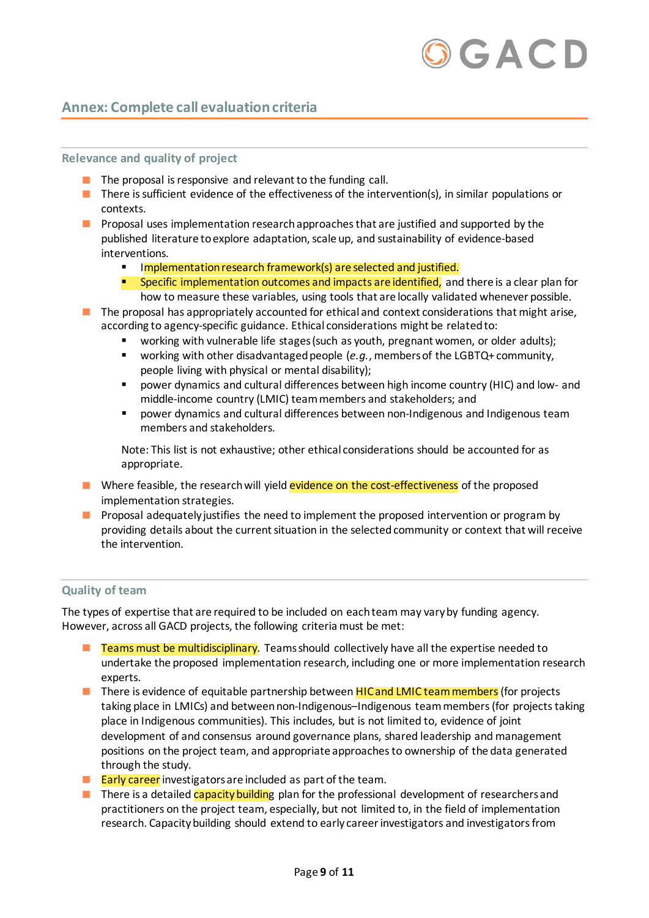# GACI

# **Annex: Complete call evaluation criteria**

# **Relevance and quality of project**

- $\blacksquare$  The proposal is responsive and relevant to the funding call.
- **There is sufficient evidence of the effectiveness of the intervention(s), in similar populations or** contexts.
- **Proposal uses implementation research approaches that are justified and supported by the** published literature to explore adaptation, scale up, and sustainability of evidence-based interventions.
	- Implementation research framework(s) are selected and justified.
	- Specific implementation outcomes and impacts are identified, and there is a clear plan for how to measure these variables, using tools that are locally validated whenever possible.
- $\blacksquare$  The proposal has appropriately accounted for ethical and context considerations that might arise, according to agency-specific guidance. Ethical considerations might be related to:
	- working with vulnerable life stages (such as youth, pregnant women, or older adults);
	- working with other disadvantaged people (*e.g.*, members of the LGBTQ+ community, people living with physical or mental disability);
	- power dynamics and cultural differences between high income country (HIC) and low- and middle-income country (LMIC) team members and stakeholders; and
	- power dynamics and cultural differences between non-Indigenous and Indigenous team members and stakeholders.

Note: This list is not exhaustive; other ethical considerations should be accounted for as appropriate.

- Where feasible, the research will yield evidence on the cost-effectiveness of the proposed implementation strategies.
- **Proposal adequately justifies the need to implement the proposed intervention or program by** providing details about the current situation in the selected community or context that will receive the intervention.

## **Quality of team**

The types of expertise that are required to be included on each team may vary by funding agency. However, across all GACD projects, the following criteria must be met:

- **Teams must be multidisciplinary**. Teams should collectively have all the expertise needed to undertake the proposed implementation research, including one or more implementation research experts.
- **There is evidence of equitable partnership between HIC and LMIC team members** (for projects taking place in LMICs) and between non-Indigenous–Indigenous team members (for projects taking place in Indigenous communities). This includes, but is not limited to, evidence of joint development of and consensus around governance plans, shared leadership and management positions on the project team, and appropriate approaches to ownership of the data generated through the study.
- Early career investigators are included as part of the team.
- **There is a detailed capacity building** plan for the professional development of researchers and practitioners on the project team, especially, but not limited to, in the field of implementation research. Capacity building should extend to early career investigators and investigators from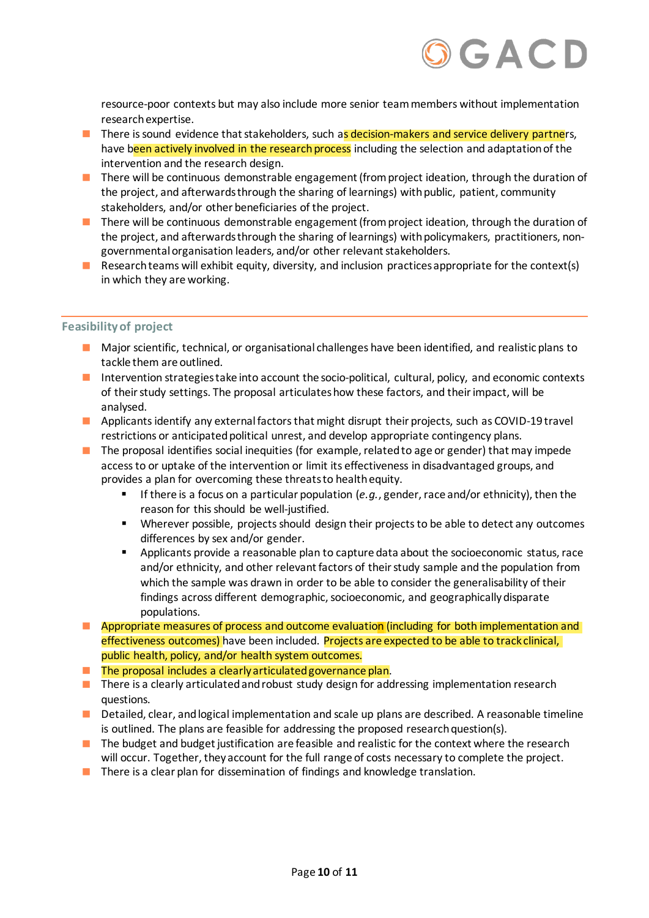

resource-poor contexts but may also include more senior team members without implementation research expertise.

- **There is sound evidence that stakeholders, such as decision-makers and service delivery partners,** have been actively involved in the research process including the selection and adaptation of the intervention and the research design.
- **There will be continuous demonstrable engagement (from project ideation, through the duration of** the project, and afterwards through the sharing of learnings) with public, patient, community stakeholders, and/or other beneficiaries of the project.
- **There will be continuous demonstrable engagement (from project ideation, through the duration of** the project, and afterwards through the sharing of learnings) with policymakers, practitioners, nongovernmental organisation leaders, and/or other relevant stakeholders.
- Research teams will exhibit equity, diversity, and inclusion practices appropriate for the context(s) in which they are working.

# **Feasibility of project**

- **Major scientific, technical, or organisational challenges have been identified, and realistic plans to** tackle them are outlined.
- Intervention strategies take into account the socio-political, cultural, policy, and economic contexts of their study settings. The proposal articulates how these factors, and their impact, will be analysed.
- **Applicants identify any external factors that might disrupt their projects, such as COVID-19 travel** restrictions or anticipated political unrest, and develop appropriate contingency plans.
- **The proposal identifies social inequities (for example, related to age or gender) that may impede** access to or uptake of the intervention or limit its effectiveness in disadvantaged groups, and provides a plan for overcoming these threats to health equity.
	- If there is a focus on a particular population (*e.g.*, gender, race and/or ethnicity), then the reason for this should be well-justified.
	- Wherever possible, projects should design their projects to be able to detect any outcomes differences by sex and/or gender.
	- Applicants provide a reasonable plan to capture data about the socioeconomic status, race and/or ethnicity, and other relevant factors of their study sample and the population from which the sample was drawn in order to be able to consider the generalisability of their findings across different demographic, socioeconomic, and geographically disparate populations.
- **Appropriate measures of process and outcome evaluation (including for both implementation and** effectiveness outcomes) have been included. Projects are expected to be able to track clinical, public health, policy, and/or health system outcomes.
- $\blacksquare$  The proposal includes a clearly articulated governance plan.
- There is a clearly articulated and robust study design for addressing implementation research questions.
- Detailed, clear, and logical implementation and scale up plans are described. A reasonable timeline is outlined. The plans are feasible for addressing the proposed research question(s).
- **The budget and budget justification are feasible and realistic for the context where the research** will occur. Together, they account for the full range of costs necessary to complete the project.
- **There is a clear plan for dissemination of findings and knowledge translation.**